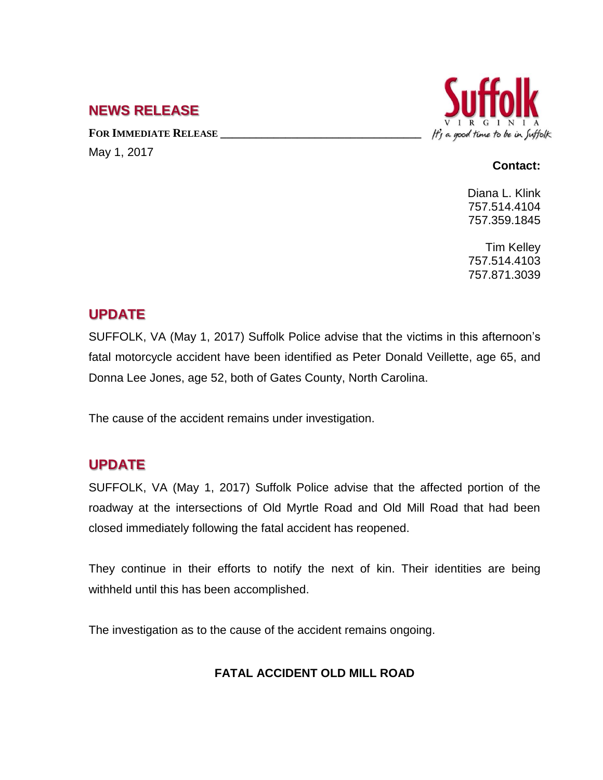### **NEWS RELEASE**

**FOR IMMEDIATE RELEASE \_\_\_\_\_\_\_\_\_\_\_\_\_\_\_\_\_\_\_\_\_\_\_\_\_\_\_\_\_\_\_\_\_\_**

May 1, 2017



#### **Contact:**

Diana L. Klink 757.514.4104 757.359.1845

Tim Kelley 757.514.4103 757.871.3039

# **UPDATE**

SUFFOLK, VA (May 1, 2017) Suffolk Police advise that the victims in this afternoon's fatal motorcycle accident have been identified as Peter Donald Veillette, age 65, and Donna Lee Jones, age 52, both of Gates County, North Carolina.

The cause of the accident remains under investigation.

# **UPDATE**

SUFFOLK, VA (May 1, 2017) Suffolk Police advise that the affected portion of the roadway at the intersections of Old Myrtle Road and Old Mill Road that had been closed immediately following the fatal accident has reopened.

They continue in their efforts to notify the next of kin. Their identities are being withheld until this has been accomplished.

The investigation as to the cause of the accident remains ongoing.

#### **FATAL ACCIDENT OLD MILL ROAD**